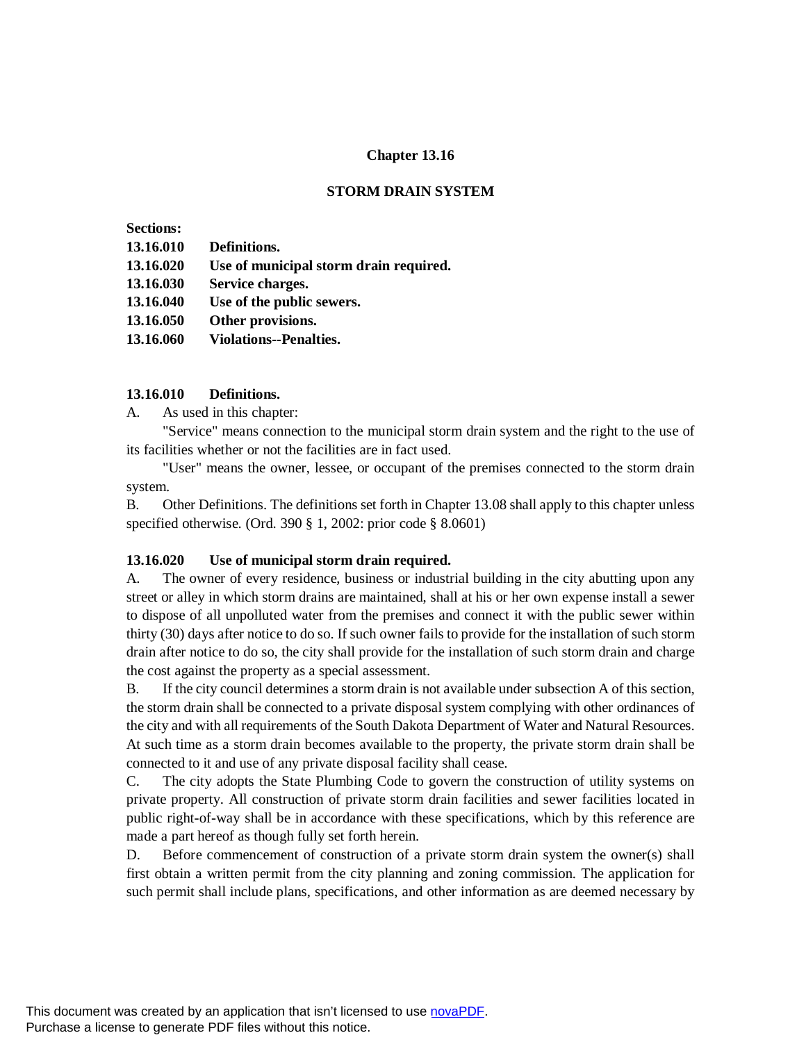# **Chapter 13.16**

# **STORM DRAIN SYSTEM**

**Sections:**

**13.16.010 Definitions. 13.16.020 Use of municipal storm drain required. 13.16.030 Service charges. 13.16.040 Use of the public sewers. 13.16.050 Other provisions. 13.16.060 Violations--Penalties.**

### **13.16.010 Definitions.**

A. As used in this chapter:

"Service" means connection to the municipal storm drain system and the right to the use of its facilities whether or not the facilities are in fact used.

"User" means the owner, lessee, or occupant of the premises connected to the storm drain system.

B. Other Definitions. The definitions set forth in Chapter 13.08 shall apply to this chapter unless specified otherwise. (Ord. 390 § 1, 2002: prior code § 8.0601)

### **13.16.020 Use of municipal storm drain required.**

A. The owner of every residence, business or industrial building in the city abutting upon any street or alley in which storm drains are maintained, shall at his or her own expense install a sewer to dispose of all unpolluted water from the premises and connect it with the public sewer within thirty (30) days after notice to do so. If such owner fails to provide for the installation of such storm drain after notice to do so, the city shall provide for the installation of such storm drain and charge the cost against the property as a special assessment.

B. If the city council determines a storm drain is not available under subsection A of this section, the storm drain shall be connected to a private disposal system complying with other ordinances of the city and with all requirements of the South Dakota Department of Water and Natural Resources. At such time as a storm drain becomes available to the property, the private storm drain shall be connected to it and use of any private disposal facility shall cease.

C. The city adopts the State Plumbing Code to govern the construction of utility systems on private property. All construction of private storm drain facilities and sewer facilities located in public right-of-way shall be in accordance with these specifications, which by this reference are made a part hereof as though fully set forth herein.

D. Before commencement of construction of a private storm drain system the owner(s) shall first obtain a written permit from the city planning and zoning commission. The application for such permit shall include plans, specifications, and other information as are deemed necessary by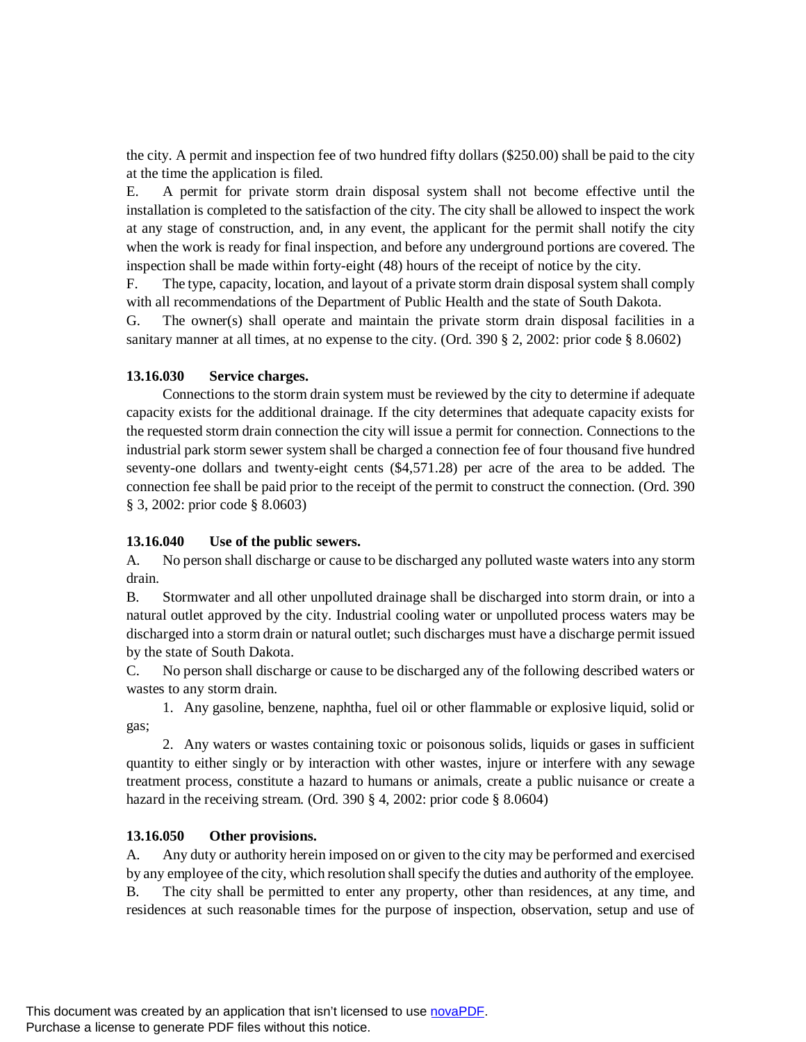the city. A permit and inspection fee of two hundred fifty dollars (\$250.00) shall be paid to the city at the time the application is filed.

E. A permit for private storm drain disposal system shall not become effective until the installation is completed to the satisfaction of the city. The city shall be allowed to inspect the work at any stage of construction, and, in any event, the applicant for the permit shall notify the city when the work is ready for final inspection, and before any underground portions are covered. The inspection shall be made within forty-eight (48) hours of the receipt of notice by the city.

F. The type, capacity, location, and layout of a private storm drain disposal system shall comply with all recommendations of the Department of Public Health and the state of South Dakota.

G. The owner(s) shall operate and maintain the private storm drain disposal facilities in a sanitary manner at all times, at no expense to the city. (Ord. 390 § 2, 2002: prior code § 8.0602)

## **13.16.030 Service charges.**

Connections to the storm drain system must be reviewed by the city to determine if adequate capacity exists for the additional drainage. If the city determines that adequate capacity exists for the requested storm drain connection the city will issue a permit for connection. Connections to the industrial park storm sewer system shall be charged a connection fee of four thousand five hundred seventy-one dollars and twenty-eight cents (\$4,571.28) per acre of the area to be added. The connection fee shall be paid prior to the receipt of the permit to construct the connection. (Ord. 390 § 3, 2002: prior code § 8.0603)

### **13.16.040 Use of the public sewers.**

A. No person shall discharge or cause to be discharged any polluted waste waters into any storm drain.

B. Stormwater and all other unpolluted drainage shall be discharged into storm drain, or into a natural outlet approved by the city. Industrial cooling water or unpolluted process waters may be discharged into a storm drain or natural outlet; such discharges must have a discharge permit issued by the state of South Dakota.

C. No person shall discharge or cause to be discharged any of the following described waters or wastes to any storm drain.

1. Any gasoline, benzene, naphtha, fuel oil or other flammable or explosive liquid, solid or gas;

2. Any waters or wastes containing toxic or poisonous solids, liquids or gases in sufficient quantity to either singly or by interaction with other wastes, injure or interfere with any sewage treatment process, constitute a hazard to humans or animals, create a public nuisance or create a hazard in the receiving stream. (Ord. 390 § 4, 2002: prior code § 8.0604)

### **13.16.050 Other provisions.**

A. Any duty or authority herein imposed on or given to the city may be performed and exercised by any employee of the city, which resolution shall specify the duties and authority of the employee. B. The city shall be permitted to enter any property, other than residences, at any time, and residences at such reasonable times for the purpose of inspection, observation, setup and use of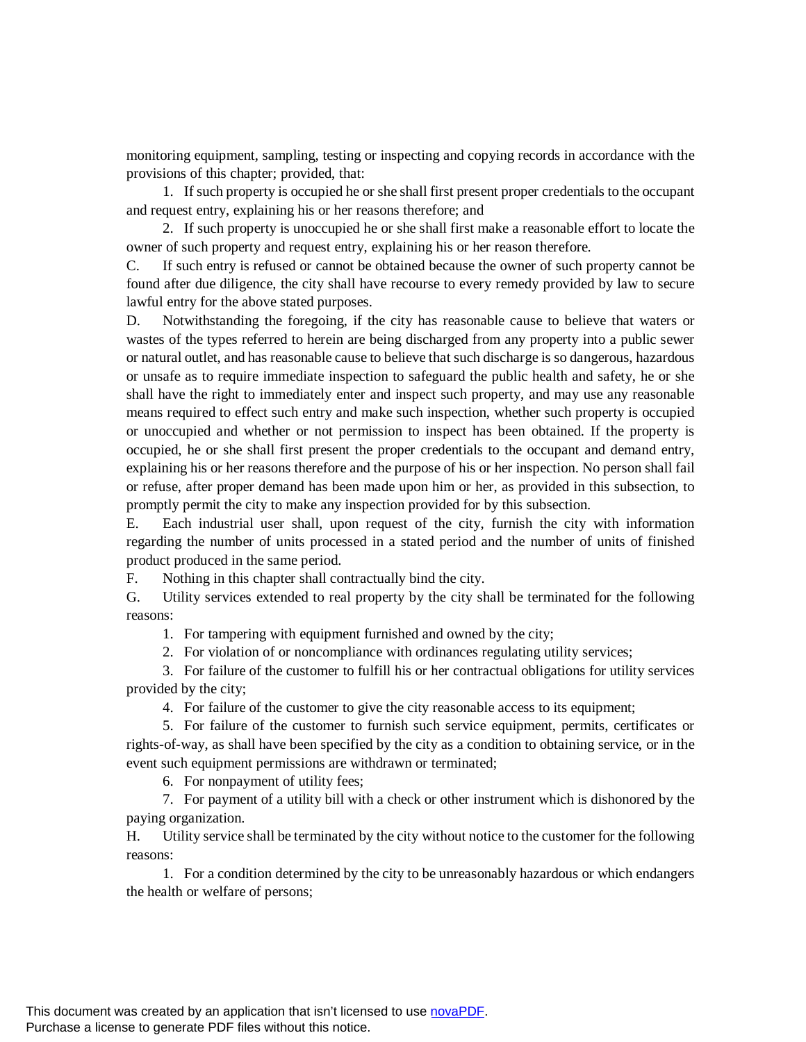monitoring equipment, sampling, testing or inspecting and copying records in accordance with the provisions of this chapter; provided, that:

1. If such property is occupied he or she shall first present proper credentials to the occupant and request entry, explaining his or her reasons therefore; and

2. If such property is unoccupied he or she shall first make a reasonable effort to locate the owner of such property and request entry, explaining his or her reason therefore.

C. If such entry is refused or cannot be obtained because the owner of such property cannot be found after due diligence, the city shall have recourse to every remedy provided by law to secure lawful entry for the above stated purposes.

D. Notwithstanding the foregoing, if the city has reasonable cause to believe that waters or wastes of the types referred to herein are being discharged from any property into a public sewer or natural outlet, and has reasonable cause to believe that such discharge is so dangerous, hazardous or unsafe as to require immediate inspection to safeguard the public health and safety, he or she shall have the right to immediately enter and inspect such property, and may use any reasonable means required to effect such entry and make such inspection, whether such property is occupied or unoccupied and whether or not permission to inspect has been obtained. If the property is occupied, he or she shall first present the proper credentials to the occupant and demand entry, explaining his or her reasons therefore and the purpose of his or her inspection. No person shall fail or refuse, after proper demand has been made upon him or her, as provided in this subsection, to promptly permit the city to make any inspection provided for by this subsection.

E. Each industrial user shall, upon request of the city, furnish the city with information regarding the number of units processed in a stated period and the number of units of finished product produced in the same period.

F. Nothing in this chapter shall contractually bind the city.

G. Utility services extended to real property by the city shall be terminated for the following reasons:

1. For tampering with equipment furnished and owned by the city;

2. For violation of or noncompliance with ordinances regulating utility services;

3. For failure of the customer to fulfill his or her contractual obligations for utility services provided by the city;

4. For failure of the customer to give the city reasonable access to its equipment;

5. For failure of the customer to furnish such service equipment, permits, certificates or rights-of-way, as shall have been specified by the city as a condition to obtaining service, or in the event such equipment permissions are withdrawn or terminated;

6. For nonpayment of utility fees;

7. For payment of a utility bill with a check or other instrument which is dishonored by the paying organization.

H. Utility service shall be terminated by the city without notice to the customer for the following reasons:

1. For a condition determined by the city to be unreasonably hazardous or which endangers the health or welfare of persons;